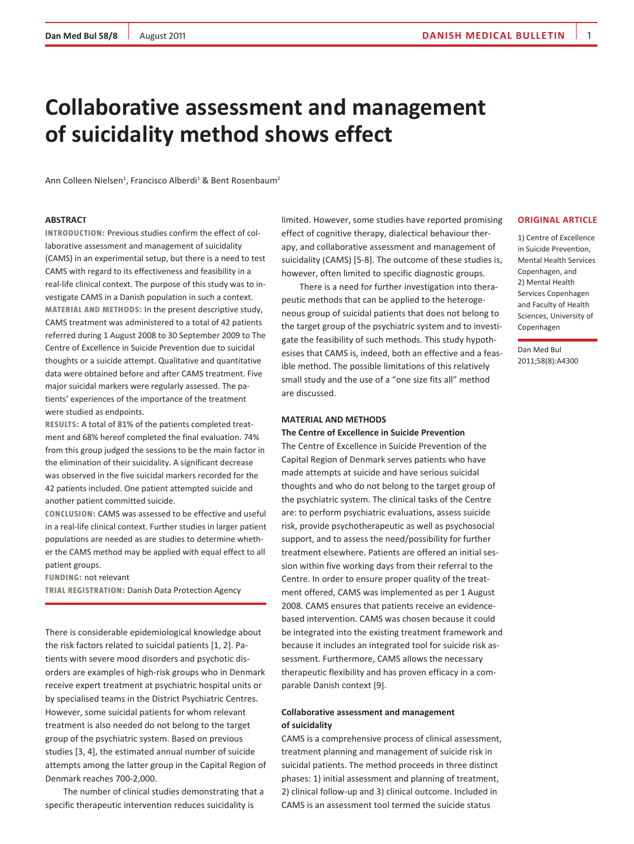# **Collaborative assessment and management of suicidality method shows effect**

Ann Colleen Nielsen<sup>1</sup>, Francisco Alberdi<sup>1</sup> & Bent Rosenbaum<sup>2</sup>

## **ABSTRACT**

**INTRODUCTION:** Previous studies confirm the effect of collaborative assessment and management of suicidality (CAMS) in an experimental setup, but there is a need to test CAMS with regard to its effectiveness and feasibility in a real-life clinical context. The purpose of this study was to investigate CAMS in a Danish population in such a context. **MATERIAL AND METHODS:** In the present descriptive study, CAMS treatment was administered to a total of 42 patients referred during 1 August 2008 to 30 September 2009 to The Centre of Excellence in Suicide Prevention due to suicidal thoughts or a suicide attempt. Qualitative and quantitative data were obtained before and after CAMS treatment. Five major suicidal markers were regularly assessed. The patients' experiences of the importance of the treatment were studied as endpoints.

**RESULTS:** A total of 81% of the patients completed treatment and 68% hereof completed the final evaluation. 74% from this group judged the sessions to be the main factor in the elimination of their suicidality. A significant decrease was observed in the five suicidal markers recorded for the 42 patients included. One patient attempted suicide and another patient committed suicide.

**CONCLUSION:** CAMS was assessed to be effective and useful in a real-life clinical context. Further studies in larger patient populations are needed as are studies to determine whether the CAMS method may be applied with equal effect to all patient groups.

**FUNDING:** not relevant

**TRIAL REGISTRATION:** Danish Data Protection Agency

There is considerable epidemiological knowledge about the risk factors related to suicidal patients [1, 2]. Patients with severe mood disorders and psychotic disorders are examples of high-risk groups who in Denmark receive expert treatment at psychiatric hospital units or by specialised teams in the District Psychiatric Centres. However, some suicidal patients for whom relevant treatment is also needed do not belong to the target group of the psychiatric system. Based on previous studies [3, 4], the estimated annual number of suicide attempts among the latter group in the Capital Region of Denmark reaches 700-2,000.

The number of clinical studies demonstrating that a specific therapeutic intervention reduces suicidality is

limited. However, some studies have reported promising effect of cognitive therapy, dialectical behaviour therapy, and collaborative assessment and management of suicidality (CAMS) [5-8]. The outcome of these studies is, however, often limited to specific diagnostic groups.

There is a need for further investigation into therapeutic methods that can be applied to the heterogeneous group of suicidal patients that does not belong to the target group of the psychiatric system and to investigate the feasibility of such methods. This study hypothesises that CAMS is, indeed, both an effective and a feasible method. The possible limitations of this relatively small study and the use of a "one size fits all" method are discussed.

## **MATERIAL AND METHODS**

**The Centre of Excellence in Suicide Prevention**

The Centre of Excellence in Suicide Prevention of the Capital Region of Denmark serves patients who have made attempts at suicide and have serious suicidal thoughts and who do not belong to the target group of the psychiatric system. The clinical tasks of the Centre are: to perform psychiatric evaluations, assess suicide risk, provide psychotherapeutic as well as psychosocial support, and to assess the need/possibility for further treatment elsewhere. Patients are offered an initial session within five working days from their referral to the Centre. In order to ensure proper quality of the treatment offered, CAMS was implemented as per 1 August 2008. CAMS ensures that patients receive an evidencebased intervention. CAMS was chosen because it could be integrated into the existing treatment framework and because it includes an integrated tool for suicide risk assessment. Furthermore, CAMS allows the necessary therapeutic flexibility and has proven efficacy in a comparable Danish context [9].

# **Collaborative assessment and management of suicidality**

CAMS is a comprehensive process of clinical assessment, treatment planning and management of suicide risk in suicidal patients. The method proceeds in three distinct phases: 1) initial assessment and planning of treatment, 2) clinical follow-up and 3) clinical outcome. Included in CAMS is an assessment tool termed the suicide status

# **ORIGINAL ARTICLE**

1) Centre of Excellence in Suicide Prevention, Mental Health Services Copenhagen, and 2) Mental Health Services Copenhagen and Faculty of Health Sciences, University of Copenhagen

Dan Med Bul 2011;58(8):A4300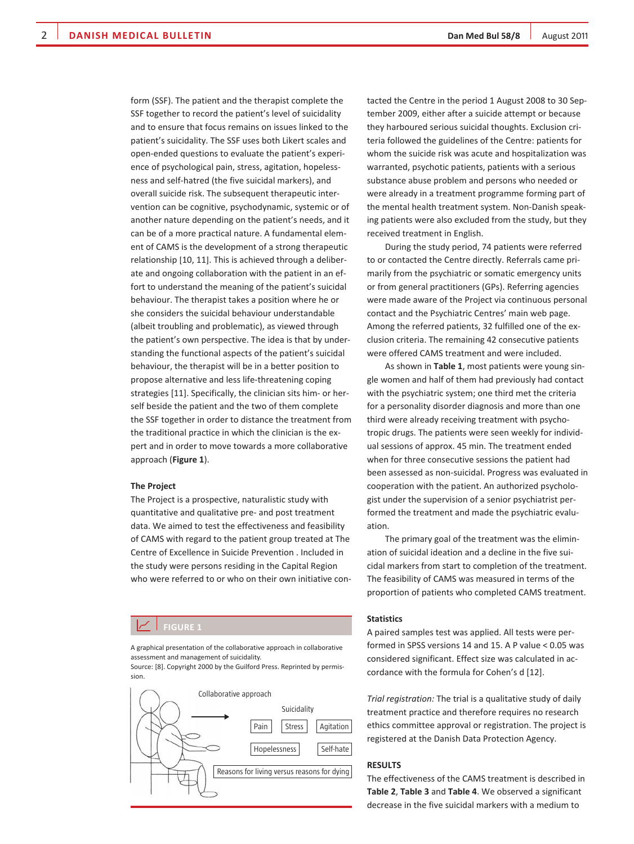form (SSF). The patient and the therapist complete the SSF together to record the patient's level of suicidality and to ensure that focus remains on issues linked to the patient's suicidality. The SSF uses both Likert scales and open-ended questions to evaluate the patient's experience of psychological pain, stress, agitation, hopelessness and self-hatred (the five suicidal markers), and overall suicide risk. The subsequent therapeutic intervention can be cognitive, psychodynamic, systemic or of another nature depending on the patient's needs, and it can be of a more practical nature. A fundamental element of CAMS is the development of a strong therapeutic relationship [10, 11]. This is achieved through a deliberate and ongoing collaboration with the patient in an effort to understand the meaning of the patient's suicidal behaviour. The therapist takes a position where he or she considers the suicidal behaviour understandable (albeit troubling and problematic), as viewed through the patient's own perspective. The idea is that by understanding the functional aspects of the patient's suicidal behaviour, the therapist will be in a better position to propose alternative and less life-threatening coping strategies [11]. Specifically, the clinician sits him- or herself beside the patient and the two of them complete the SSF together in order to distance the treatment from the traditional practice in which the clinician is the expert and in order to move towards a more collaborative approach (**Figure 1**).

#### **The Project**

The Project is a prospective, naturalistic study with quantitative and qualitative pre- and post treatment data. We aimed to test the effectiveness and feasibility of CAMS with regard to the patient group treated at The Centre of Excellence in Suicide Prevention . Included in the study were persons residing in the Capital Region who were referred to or who on their own initiative con-

# **FIGURE 1**

A graphical presentation of the collaborative approach in collaborative assessment and management of suicidality.

Source: [8]. Copyright 2000 by the Guilford Press. Reprinted by permission.



tacted the Centre in the period 1 August 2008 to 30 September 2009, either after a suicide attempt or because they harboured serious suicidal thoughts. Exclusion criteria followed the guidelines of the Centre: patients for whom the suicide risk was acute and hospitalization was warranted, psychotic patients, patients with a serious substance abuse problem and persons who needed or were already in a treatment programme forming part of the mental health treatment system. Non-Danish speaking patients were also excluded from the study, but they received treatment in English.

During the study period, 74 patients were referred to or contacted the Centre directly. Referrals came primarily from the psychiatric or somatic emergency units or from general practitioners (GPs). Referring agencies were made aware of the Project via continuous personal contact and the Psychiatric Centres' main web page. Among the referred patients, 32 fulfilled one of the exclusion criteria. The remaining 42 consecutive patients were offered CAMS treatment and were included.

As shown in **Table 1**, most patients were young single women and half of them had previously had contact with the psychiatric system; one third met the criteria for a personality disorder diagnosis and more than one third were already receiving treatment with psychotropic drugs. The patients were seen weekly for individual sessions of approx. 45 min. The treatment ended when for three consecutive sessions the patient had been assessed as non-suicidal. Progress was evaluated in cooperation with the patient. An authorized psychologist under the supervision of a senior psychiatrist performed the treatment and made the psychiatric evaluation.

The primary goal of the treatment was the elimination of suicidal ideation and a decline in the five suicidal markers from start to completion of the treatment. The feasibility of CAMS was measured in terms of the proportion of patients who completed CAMS treatment.

#### **Statistics**

A paired samples test was applied. All tests were performed in SPSS versions 14 and 15. A P value < 0.05 was considered significant. Effect size was calculated in accordance with the formula for Cohen's d [12].

*Trial registration:* The trial is a qualitative study of daily treatment practice and therefore requires no research ethics committee approval or registration. The project is registered at the Danish Data Protection Agency.

# **RESULTS**

The effectiveness of the CAMS treatment is described in **Table 2**, **Table 3** and **Table 4**. We observed a significant decrease in the five suicidal markers with a medium to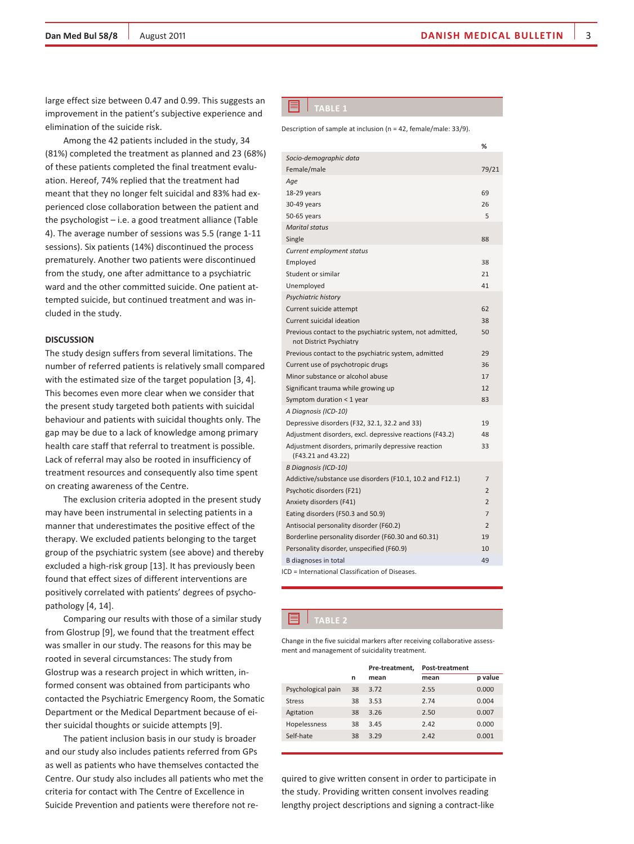large effect size between 0.47 and 0.99. This suggests an improvement in the patient's subjective experience and elimination of the suicide risk.

Among the 42 patients included in the study, 34 (81%) completed the treatment as planned and 23 (68%) of these patients completed the final treatment evaluation. Hereof, 74% replied that the treatment had meant that they no longer felt suicidal and 83% had experienced close collaboration between the patient and the psychologist – i.e. a good treatment alliance (Table 4). The average number of sessions was 5.5 (range 1-11 sessions). Six patients (14%) discontinued the process prematurely. Another two patients were discontinued from the study, one after admittance to a psychiatric ward and the other committed suicide. One patient attempted suicide, but continued treatment and was included in the study.

## **DISCUSSION**

The study design suffers from several limitations. The number of referred patients is relatively small compared with the estimated size of the target population [3, 4]. This becomes even more clear when we consider that the present study targeted both patients with suicidal behaviour and patients with suicidal thoughts only. The gap may be due to a lack of knowledge among primary health care staff that referral to treatment is possible. Lack of referral may also be rooted in insufficiency of treatment resources and consequently also time spent on creating awareness of the Centre.

The exclusion criteria adopted in the present study may have been instrumental in selecting patients in a manner that underestimates the positive effect of the therapy. We excluded patients belonging to the target group of the psychiatric system (see above) and thereby excluded a high-risk group [13]. It has previously been found that effect sizes of different interventions are positively correlated with patients' degrees of psychopathology [4, 14].

Comparing our results with those of a similar study from Glostrup [9], we found that the treatment effect was smaller in our study. The reasons for this may be rooted in several circumstances: The study from Glostrup was a research project in which written, informed consent was obtained from participants who contacted the Psychiatric Emergency Room, the Somatic Department or the Medical Department because of either suicidal thoughts or suicide attempts [9].

The patient inclusion basis in our study is broader and our study also includes patients referred from GPs as well as patients who have themselves contacted the Centre. Our study also includes all patients who met the criteria for contact with The Centre of Excellence in Suicide Prevention and patients were therefore not re-

### $\blacksquare$  TABLE 1

Description of sample at inclusion (n = 42, female/male: 33/9).

|                                                                                      | %              |
|--------------------------------------------------------------------------------------|----------------|
| Socio-demographic data                                                               |                |
| Female/male                                                                          | 79/21          |
| Age                                                                                  |                |
| 18-29 years                                                                          | 69             |
| 30-49 years                                                                          | 26             |
| 50-65 years                                                                          | 5              |
| <b>Marital status</b>                                                                |                |
| Single                                                                               | 88             |
| Current employment status                                                            |                |
| Employed                                                                             | 38             |
| Student or similar                                                                   | 21             |
| Unemployed                                                                           | 41             |
| Psychiatric history                                                                  |                |
| Current suicide attempt                                                              | 62             |
| Current suicidal ideation                                                            | 38             |
| Previous contact to the psychiatric system, not admitted,<br>not District Psychiatry | 50             |
| Previous contact to the psychiatric system, admitted                                 | 29             |
| Current use of psychotropic drugs                                                    | 36             |
| Minor substance or alcohol abuse                                                     | 17             |
| Significant trauma while growing up                                                  | 12             |
| Symptom duration < 1 year                                                            | 83             |
| A Diagnosis (ICD-10)                                                                 |                |
| Depressive disorders (F32, 32.1, 32.2 and 33)                                        | 19             |
| Adjustment disorders, excl. depressive reactions (F43.2)                             | 48             |
| Adjustment disorders, primarily depressive reaction<br>(F43.21 and 43.22)            | 33             |
| B Diagnosis (ICD-10)                                                                 |                |
| Addictive/substance use disorders (F10.1, 10.2 and F12.1)                            | $\overline{7}$ |
| Psychotic disorders (F21)                                                            | $\overline{2}$ |
| Anxiety disorders (F41)                                                              | $\overline{2}$ |
| Eating disorders (F50.3 and 50.9)                                                    | $\overline{7}$ |
| Antisocial personality disorder (F60.2)                                              | $\overline{2}$ |
| Borderline personality disorder (F60.30 and 60.31)                                   | 19             |
| Personality disorder, unspecified (F60.9)                                            | 10             |
| <b>B</b> diagnoses in total                                                          | 49             |
| ICD = International Classification of Diseases.                                      |                |

## **TABLE 2**

Change in the five suicidal markers after receiving collaborative assessment and management of suicidality treatment.

|                    |    | Pre-treatment, | Post-treatment |         |
|--------------------|----|----------------|----------------|---------|
|                    | n  | mean           | mean           | p value |
| Psychological pain | 38 | 3.72           | 2.55           | 0.000   |
| <b>Stress</b>      | 38 | 3.53           | 2.74           | 0.004   |
| Agitation          | 38 | 3.26           | 2.50           | 0.007   |
| Hopelessness       | 38 | 3.45           | 2.42           | 0.000   |
| Self-hate          | 38 | 3.29           | 2.42           | 0.001   |
|                    |    |                |                |         |

quired to give written consent in order to participate in the study. Providing written consent involves reading lengthy project descriptions and signing a contract-like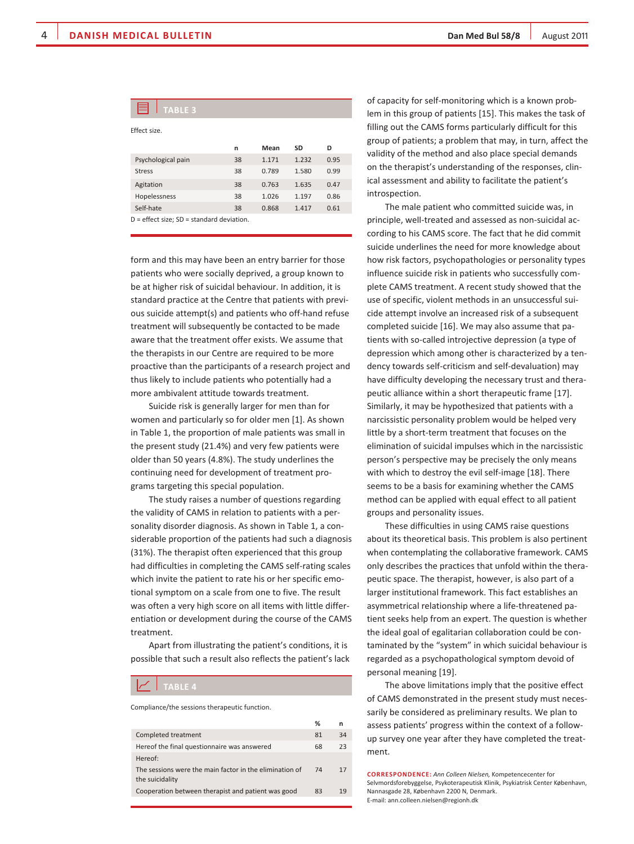| <b>TABLE 3</b>                                |    |       |       |      |
|-----------------------------------------------|----|-------|-------|------|
| Effect size.                                  |    |       |       |      |
|                                               | n  | Mean  | SD    | D    |
| Psychological pain                            | 38 | 1.171 | 1.232 | 0.95 |
| <b>Stress</b>                                 | 38 | 0.789 | 1.580 | 0.99 |
| Agitation                                     | 38 | 0.763 | 1.635 | 0.47 |
| Hopelessness                                  | 38 | 1.026 | 1.197 | 0.86 |
| Self-hate                                     | 38 | 0.868 | 1.417 | 0.61 |
| $D =$ effect size: $SD =$ standard deviation. |    |       |       |      |

form and this may have been an entry barrier for those patients who were socially deprived, a group known to be at higher risk of suicidal behaviour. In addition, it is standard practice at the Centre that patients with previous suicide attempt(s) and patients who off-hand refuse treatment will subsequently be contacted to be made aware that the treatment offer exists. We assume that the therapists in our Centre are required to be more proactive than the participants of a research project and thus likely to include patients who potentially had a more ambivalent attitude towards treatment.

Suicide risk is generally larger for men than for women and particularly so for older men [1]. As shown in Table 1, the proportion of male patients was small in the present study (21.4%) and very few patients were older than 50 years (4.8%). The study underlines the continuing need for development of treatment programs targeting this special population.

The study raises a number of questions regarding the validity of CAMS in relation to patients with a personality disorder diagnosis. As shown in Table 1, a considerable proportion of the patients had such a diagnosis (31%). The therapist often experienced that this group had difficulties in completing the CAMS self-rating scales which invite the patient to rate his or her specific emotional symptom on a scale from one to five. The result was often a very high score on all items with little differentiation or development during the course of the CAMS treatment.

Apart from illustrating the patient's conditions, it is possible that such a result also reflects the patient's lack

# **TABLE 4**

Compliance/the sessions therapeutic function.

|                                                                            | %  | n  |
|----------------------------------------------------------------------------|----|----|
| Completed treatment                                                        | 81 | 34 |
| Hereof the final questionnaire was answered                                | 68 | 23 |
| Hereof:                                                                    |    |    |
| The sessions were the main factor in the elimination of<br>the suicidality | 74 | 17 |
| Cooperation between therapist and patient was good                         | 83 | 19 |
|                                                                            |    |    |

of capacity for self-monitoring which is a known problem in this group of patients [15]. This makes the task of filling out the CAMS forms particularly difficult for this group of patients; a problem that may, in turn, affect the validity of the method and also place special demands on the therapist's understanding of the responses, clinical assessment and ability to facilitate the patient's introspection.

The male patient who committed suicide was, in principle, well-treated and assessed as non-suicidal according to his CAMS score. The fact that he did commit suicide underlines the need for more knowledge about how risk factors, psychopathologies or personality types influence suicide risk in patients who successfully complete CAMS treatment. A recent study showed that the use of specific, violent methods in an unsuccessful suicide attempt involve an increased risk of a subsequent completed suicide [16]. We may also assume that patients with so-called introjective depression (a type of depression which among other is characterized by a tendency towards self-criticism and self-devaluation) may have difficulty developing the necessary trust and therapeutic alliance within a short therapeutic frame [17]. Similarly, it may be hypothesized that patients with a narcissistic personality problem would be helped very little by a short-term treatment that focuses on the elimination of suicidal impulses which in the narcissistic person's perspective may be precisely the only means with which to destroy the evil self-image [18]. There seems to be a basis for examining whether the CAMS method can be applied with equal effect to all patient groups and personality issues.

These difficulties in using CAMS raise questions about its theoretical basis. This problem is also pertinent when contemplating the collaborative framework. CAMS only describes the practices that unfold within the therapeutic space. The therapist, however, is also part of a larger institutional framework. This fact establishes an asymmetrical relationship where a life-threatened patient seeks help from an expert. The question is whether the ideal goal of egalitarian collaboration could be contaminated by the "system" in which suicidal behaviour is regarded as a psychopathological symptom devoid of personal meaning [19].

The above limitations imply that the positive effect of CAMS demonstrated in the present study must necessarily be considered as preliminary results. We plan to assess patients' progress within the context of a followup survey one year after they have completed the treatment.

**CORRESPONDENCE:** *Ann Colleen Nielsen,* Kompetencecenter for Selvmordsforebyggelse, Psykoterapeutisk Klinik, Psykiatrisk Center København, Nannasgade 28, København 2200 N, Denmark. E-mail: ann.colleen.nielsen@regionh.dk